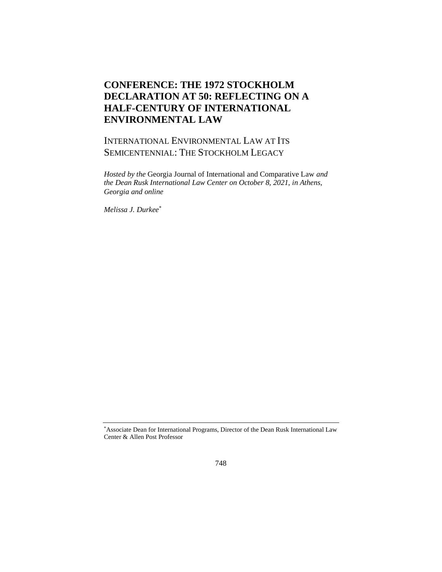## **CONFERENCE: THE 1972 STOCKHOLM DECLARATION AT 50: REFLECTING ON A HALF-CENTURY OF INTERNATIONAL ENVIRONMENTAL LAW**

## INTERNATIONAL ENVIRONMENTAL LAW AT ITS SEMICENTENNIAL: THE STOCKHOLM LEGACY

*Hosted by the* Georgia Journal of International and Comparative Law *and the Dean Rusk International Law Center on October 8, 2021, in Athens, Georgia and online*

*Melissa J. Durkee*\*

<sup>\*</sup>Associate Dean for International Programs, Director of the Dean Rusk International Law Center & Allen Post Professor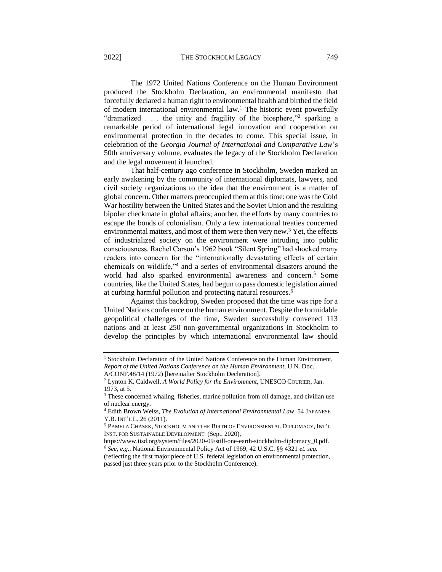The 1972 United Nations Conference on the Human Environment produced the Stockholm Declaration, an environmental manifesto that forcefully declared a human right to environmental health and birthed the field of modern international environmental law.<sup>1</sup> The historic event powerfully "dramatized . . . the unity and fragility of the biosphere,"<sup>2</sup> sparking a remarkable period of international legal innovation and cooperation on environmental protection in the decades to come. This special issue, in celebration of the *Georgia Journal of International and Comparative Law*'s 50th anniversary volume, evaluates the legacy of the Stockholm Declaration and the legal movement it launched.

 That half-century ago conference in Stockholm, Sweden marked an early awakening by the community of international diplomats, lawyers, and civil society organizations to the idea that the environment is a matter of global concern. Other matters preoccupied them at this time: one was the Cold War hostility between the United States and the Soviet Union and the resulting bipolar checkmate in global affairs; another, the efforts by many countries to escape the bonds of colonialism. Only a few international treaties concerned environmental matters, and most of them were then very new.<sup>3</sup> Yet, the effects of industrialized society on the environment were intruding into public consciousness. Rachel Carson's 1962 book "Silent Spring" had shocked many readers into concern for the "internationally devastating effects of certain chemicals on wildlife,"<sup>4</sup> and a series of environmental disasters around the world had also sparked environmental awareness and concern.<sup>5</sup> Some countries, like the United States, had begun to pass domestic legislation aimed at curbing harmful pollution and protecting natural resources.<sup>6</sup>

 Against this backdrop, Sweden proposed that the time was ripe for a United Nations conference on the human environment. Despite the formidable geopolitical challenges of the time, Sweden successfully convened 113 nations and at least 250 non-governmental organizations in Stockholm to develop the principles by which international environmental law should

<sup>&</sup>lt;sup>1</sup> Stockholm Declaration of the United Nations Conference on the Human Environment, *Report of the United Nations Conference on the Human Environment*, U.N. Doc.

A/CONF.48/14 (1972) [hereinafter Stockholm Declaration].

<sup>2</sup> Lynton K. Caldwell, *A World Policy for the Environment*, UNESCO COURIER, Jan. 1973, at 5.

<sup>&</sup>lt;sup>3</sup> These concerned whaling, fisheries, marine pollution from oil damage, and civilian use of nuclear energy.

<sup>4</sup> Edith Brown Weiss, *The Evolution of International Environmental Law*, 54 JAPANESE Y.B. INT'L L. 26 (2011).

<sup>5</sup> PAMELA CHASEK, STOCKHOLM AND THE BIRTH OF ENVIRONMENTAL DIPLOMACY, INT'L INST. FOR SUSTAINABLE DEVELOPMENT (Sept. 2020),

https://www.iisd.org/system/files/2020-09/still-one-earth-stockholm-diplomacy\_0.pdf. <sup>6</sup> *See, e.g.,* National Environmental Policy Act of 1969, 42 U.S.C. §§ 4321 *et. seq.* 

<sup>(</sup>reflecting the first major piece of U.S. federal legislation on environmental protection, passed just three years prior to the Stockholm Conference).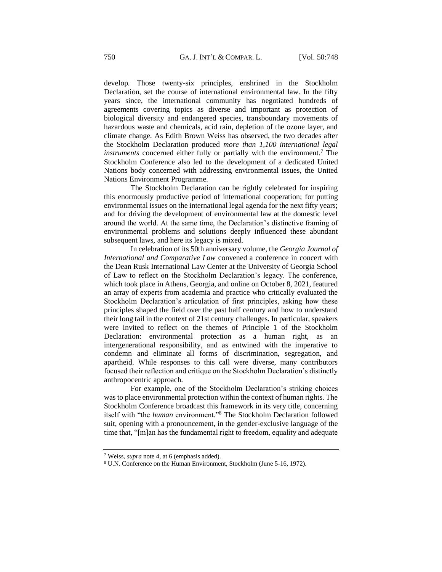develop. Those twenty-six principles, enshrined in the Stockholm Declaration, set the course of international environmental law. In the fifty years since, the international community has negotiated hundreds of agreements covering topics as diverse and important as protection of biological diversity and endangered species, transboundary movements of hazardous waste and chemicals, acid rain, depletion of the ozone layer, and climate change. As Edith Brown Weiss has observed, the two decades after the Stockholm Declaration produced *more than 1,100 international legal instruments* concerned either fully or partially with the environment.<sup>7</sup> The Stockholm Conference also led to the development of a dedicated United Nations body concerned with addressing environmental issues, the United Nations Environment Programme.

 The Stockholm Declaration can be rightly celebrated for inspiring this enormously productive period of international cooperation; for putting environmental issues on the international legal agenda for the next fifty years; and for driving the development of environmental law at the domestic level around the world. At the same time, the Declaration's distinctive framing of environmental problems and solutions deeply influenced these abundant subsequent laws, and here its legacy is mixed.

 In celebration of its 50th anniversary volume, the *Georgia Journal of International and Comparative Law* convened a conference in concert with the Dean Rusk International Law Center at the University of Georgia School of Law to reflect on the Stockholm Declaration's legacy. The conference, which took place in Athens, Georgia, and online on October 8, 2021, featured an array of experts from academia and practice who critically evaluated the Stockholm Declaration's articulation of first principles, asking how these principles shaped the field over the past half century and how to understand their long tail in the context of 21st century challenges. In particular, speakers were invited to reflect on the themes of Principle 1 of the Stockholm Declaration: environmental protection as a human right, as an intergenerational responsibility, and as entwined with the imperative to condemn and eliminate all forms of discrimination, segregation, and apartheid. While responses to this call were diverse, many contributors focused their reflection and critique on the Stockholm Declaration's distinctly anthropocentric approach.

 For example, one of the Stockholm Declaration's striking choices was to place environmental protection within the context of human rights. The Stockholm Conference broadcast this framework in its very title, concerning itself with "the *human* environment."<sup>8</sup> The Stockholm Declaration followed suit, opening with a pronouncement, in the gender-exclusive language of the time that, "[m]an has the fundamental right to freedom, equality and adequate

<sup>7</sup> Weiss, *supra* note 4, at 6 (emphasis added).

<sup>8</sup> U.N. Conference on the Human Environment, Stockholm (June 5-16, 1972).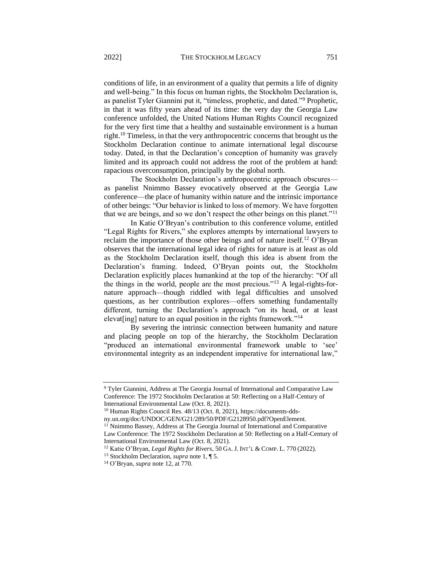conditions of life, in an environment of a quality that permits a life of dignity and well-being." In this focus on human rights, the Stockholm Declaration is, as panelist Tyler Giannini put it, "timeless, prophetic, and dated."<sup>9</sup> Prophetic, in that it was fifty years ahead of its time: the very day the Georgia Law conference unfolded, the United Nations Human Rights Council recognized for the very first time that a healthy and sustainable environment is a human right.<sup>10</sup> Timeless, in that the very anthropocentric concerns that brought us the Stockholm Declaration continue to animate international legal discourse today. Dated, in that the Declaration's conception of humanity was gravely limited and its approach could not address the root of the problem at hand: rapacious overconsumption, principally by the global north.

 The Stockholm Declaration's anthropocentric approach obscures as panelist Nnimmo Bassey evocatively observed at the Georgia Law conference—the place of humanity within nature and the intrinsic importance of other beings: "Our behavior is linked to loss of memory. We have forgotten that we are beings, and so we don't respect the other beings on this planet."<sup>11</sup>

 In Katie O'Bryan's contribution to this conference volume, entitled "Legal Rights for Rivers," she explores attempts by international lawyers to reclaim the importance of those other beings and of nature itself.<sup>12</sup> O'Bryan observes that the international legal idea of rights for nature is at least as old as the Stockholm Declaration itself, though this idea is absent from the Declaration's framing. Indeed, O'Bryan points out, the Stockholm Declaration explicitly places humankind at the top of the hierarchy: "Of all the things in the world, people are the most precious."<sup>13</sup> A legal-rights-fornature approach—though riddled with legal difficulties and unsolved questions, as her contribution explores—offers something fundamentally different, turning the Declaration's approach "on its head, or at least elevat[ing] nature to an equal position in the rights framework."<sup>14</sup>

 By severing the intrinsic connection between humanity and nature and placing people on top of the hierarchy, the Stockholm Declaration "produced an international environmental framework unable to 'see' environmental integrity as an independent imperative for international law,"

<sup>9</sup> Tyler Giannini, Address at The Georgia Journal of International and Comparative Law Conference: The 1972 Stockholm Declaration at 50: Reflecting on a Half-Century of International Environmental Law (Oct. 8, 2021).

<sup>10</sup> Human Rights Council Res. 48/13 (Oct. 8, 2021), https://documents-dds-

ny.un.org/doc/UNDOC/GEN/G21/289/50/PDF/G2128950.pdf?OpenElement. <sup>11</sup> Nnimmo Bassey, Address at The Georgia Journal of International and Comparative Law Conference: The 1972 Stockholm Declaration at 50: Reflecting on a Half-Century of International Environmental Law (Oct. 8, 2021).

<sup>12</sup> Katie O'Bryan, *Legal Rights for Rivers*, 50 GA.J. INT'L & COMP. L. 770 (2022).

<sup>13</sup> Stockholm Declaration, *supra* note 1, ¶ 5.

<sup>14</sup> O'Bryan, *supra* note 12, at 770.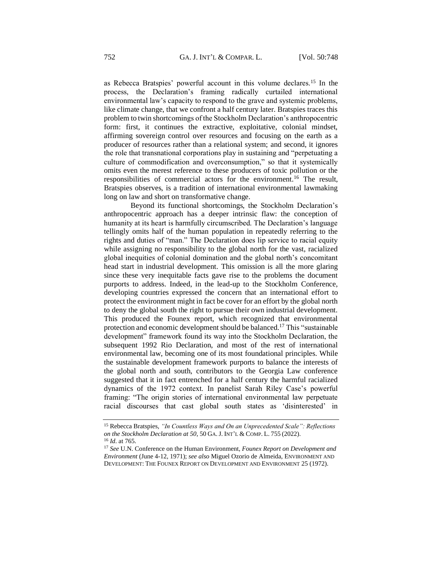as Rebecca Bratspies' powerful account in this volume declares.<sup>15</sup> In the process, the Declaration's framing radically curtailed international environmental law's capacity to respond to the grave and systemic problems, like climate change, that we confront a half century later. Bratspies traces this problem to twin shortcomings of the Stockholm Declaration's anthropocentric form: first, it continues the extractive, exploitative, colonial mindset, affirming sovereign control over resources and focusing on the earth as a producer of resources rather than a relational system; and second, it ignores the role that transnational corporations play in sustaining and "perpetuating a culture of commodification and overconsumption," so that it systemically omits even the merest reference to these producers of toxic pollution or the responsibilities of commercial actors for the environment.<sup>16</sup> The result, Bratspies observes, is a tradition of international environmental lawmaking long on law and short on transformative change.

 Beyond its functional shortcomings, the Stockholm Declaration's anthropocentric approach has a deeper intrinsic flaw: the conception of humanity at its heart is harmfully circumscribed. The Declaration's language tellingly omits half of the human population in repeatedly referring to the rights and duties of "man." The Declaration does lip service to racial equity while assigning no responsibility to the global north for the vast, racialized global inequities of colonial domination and the global north's concomitant head start in industrial development. This omission is all the more glaring since these very inequitable facts gave rise to the problems the document purports to address. Indeed, in the lead-up to the Stockholm Conference, developing countries expressed the concern that an international effort to protect the environment might in fact be cover for an effort by the global north to deny the global south the right to pursue their own industrial development. This produced the Founex report, which recognized that environmental protection and economic development should be balanced.<sup>17</sup> This "sustainable" development" framework found its way into the Stockholm Declaration, the subsequent 1992 Rio Declaration, and most of the rest of international environmental law, becoming one of its most foundational principles. While the sustainable development framework purports to balance the interests of the global north and south, contributors to the Georgia Law conference suggested that it in fact entrenched for a half century the harmful racialized dynamics of the 1972 context. In panelist Sarah Riley Case's powerful framing: "The origin stories of international environmental law perpetuate racial discourses that cast global south states as 'disinterested' in

<sup>15</sup> Rebecca Bratspies, *"In Countless Ways and On an Unprecedented Scale": Reflections on the Stockholm Declaration at 50*, 50 GA.J. INT'L & COMP. L. 755 (2022). <sup>16</sup> *Id*. at 765.

<sup>17</sup> *See* U.N. Conference on the Human Environment, *Founex Report on Development and Environment* (June 4-12, 1971); *see also* Miguel Ozorio de Almeida, ENVIRONMENT AND DEVELOPMENT: THE FOUNEX REPORT ON DEVELOPMENT AND ENVIRONMENT 25 (1972).